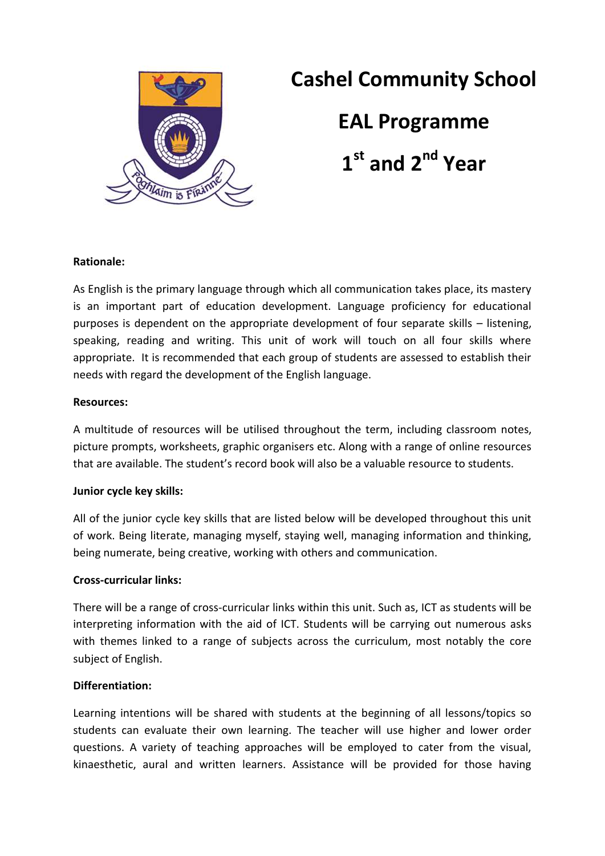

# **Cashel Community School**

**EAL Programme**

**1 st and 2nd Year**

## **Rationale:**

As English is the primary language through which all communication takes place, its mastery is an important part of education development. Language proficiency for educational purposes is dependent on the appropriate development of four separate skills – listening, speaking, reading and writing. This unit of work will touch on all four skills where appropriate. It is recommended that each group of students are assessed to establish their needs with regard the development of the English language.

## **Resources:**

A multitude of resources will be utilised throughout the term, including classroom notes, picture prompts, worksheets, graphic organisers etc. Along with a range of online resources that are available. The student's record book will also be a valuable resource to students.

# **Junior cycle key skills:**

All of the junior cycle key skills that are listed below will be developed throughout this unit of work. Being literate, managing myself, staying well, managing information and thinking, being numerate, being creative, working with others and communication.

#### **Cross-curricular links:**

There will be a range of cross-curricular links within this unit. Such as, ICT as students will be interpreting information with the aid of ICT. Students will be carrying out numerous asks with themes linked to a range of subjects across the curriculum, most notably the core subject of English.

#### **Differentiation:**

Learning intentions will be shared with students at the beginning of all lessons/topics so students can evaluate their own learning. The teacher will use higher and lower order questions. A variety of teaching approaches will be employed to cater from the visual, kinaesthetic, aural and written learners. Assistance will be provided for those having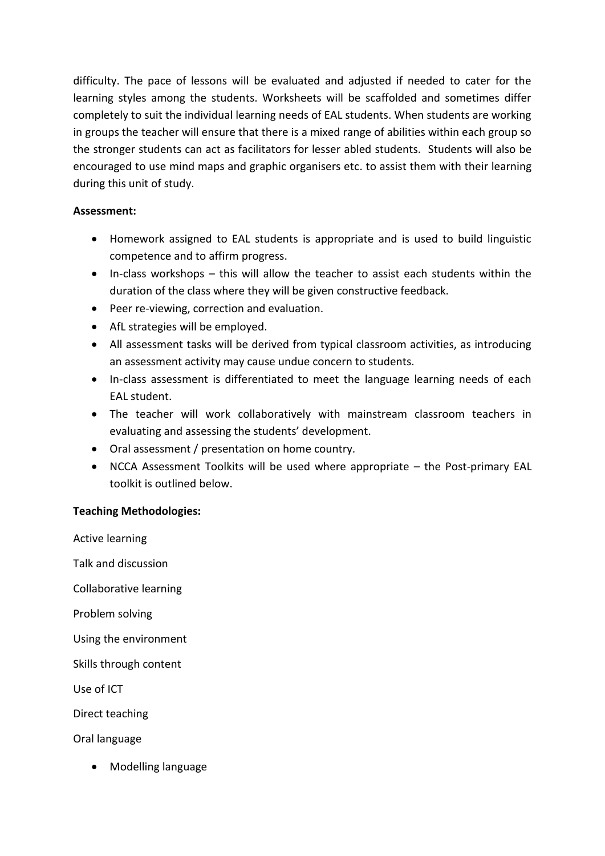difficulty. The pace of lessons will be evaluated and adjusted if needed to cater for the learning styles among the students. Worksheets will be scaffolded and sometimes differ completely to suit the individual learning needs of EAL students. When students are working in groups the teacher will ensure that there is a mixed range of abilities within each group so the stronger students can act as facilitators for lesser abled students. Students will also be encouraged to use mind maps and graphic organisers etc. to assist them with their learning during this unit of study.

# **Assessment:**

- Homework assigned to EAL students is appropriate and is used to build linguistic competence and to affirm progress.
- In-class workshops this will allow the teacher to assist each students within the duration of the class where they will be given constructive feedback.
- Peer re-viewing, correction and evaluation.
- AfL strategies will be employed.
- All assessment tasks will be derived from typical classroom activities, as introducing an assessment activity may cause undue concern to students.
- In-class assessment is differentiated to meet the language learning needs of each EAL student.
- The teacher will work collaboratively with mainstream classroom teachers in evaluating and assessing the students' development.
- Oral assessment / presentation on home country.
- NCCA Assessment Toolkits will be used where appropriate the Post-primary EAL toolkit is outlined below.

# **Teaching Methodologies:**

Active learning Talk and discussion Collaborative learning Problem solving Using the environment Skills through content Use of ICT Direct teaching

Oral language

• Modelling language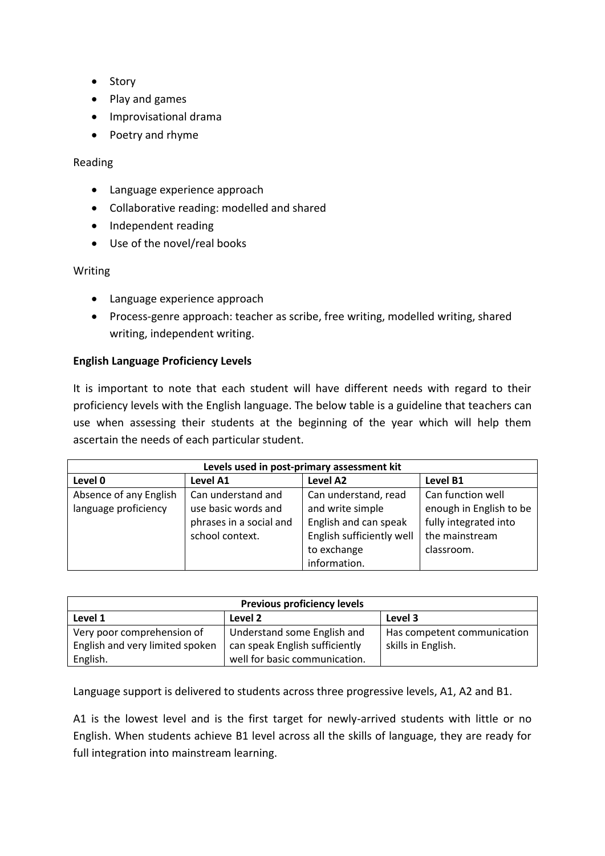- Story
- Play and games
- Improvisational drama
- Poetry and rhyme

## Reading

- Language experience approach
- Collaborative reading: modelled and shared
- Independent reading
- Use of the novel/real books

## Writing

- Language experience approach
- Process-genre approach: teacher as scribe, free writing, modelled writing, shared writing, independent writing.

# **English Language Proficiency Levels**

It is important to note that each student will have different needs with regard to their proficiency levels with the English language. The below table is a guideline that teachers can use when assessing their students at the beginning of the year which will help them ascertain the needs of each particular student.

| Levels used in post-primary assessment kit |                         |                           |                         |  |  |
|--------------------------------------------|-------------------------|---------------------------|-------------------------|--|--|
| Level 0                                    | Level A1                | Level A2                  | Level B1                |  |  |
| Absence of any English                     | Can understand and      | Can understand, read      | Can function well       |  |  |
| language proficiency                       | use basic words and     | and write simple          | enough in English to be |  |  |
|                                            | phrases in a social and | English and can speak     | fully integrated into   |  |  |
|                                            | school context.         | English sufficiently well | the mainstream          |  |  |
|                                            |                         | to exchange               | classroom.              |  |  |
|                                            |                         | information.              |                         |  |  |

| <b>Previous proficiency levels</b> |                                |                             |  |  |
|------------------------------------|--------------------------------|-----------------------------|--|--|
| Level 1                            | Level 2                        | Level 3                     |  |  |
| Very poor comprehension of         | Understand some English and    | Has competent communication |  |  |
| English and very limited spoken    | can speak English sufficiently | skills in English.          |  |  |
| English.                           | well for basic communication.  |                             |  |  |

Language support is delivered to students across three progressive levels, A1, A2 and B1.

A1 is the lowest level and is the first target for newly-arrived students with little or no English. When students achieve B1 level across all the skills of language, they are ready for full integration into mainstream learning.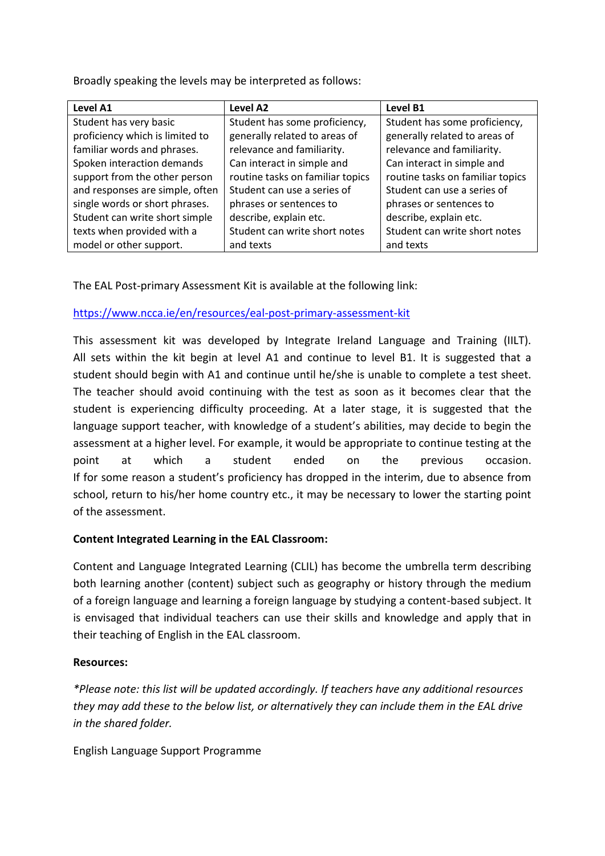Broadly speaking the levels may be interpreted as follows:

| Level A1                        | Level A2                         | Level B1                         |
|---------------------------------|----------------------------------|----------------------------------|
| Student has very basic          | Student has some proficiency,    | Student has some proficiency,    |
| proficiency which is limited to | generally related to areas of    | generally related to areas of    |
| familiar words and phrases.     | relevance and familiarity.       | relevance and familiarity.       |
| Spoken interaction demands      | Can interact in simple and       | Can interact in simple and       |
| support from the other person   | routine tasks on familiar topics | routine tasks on familiar topics |
| and responses are simple, often | Student can use a series of      | Student can use a series of      |
| single words or short phrases.  | phrases or sentences to          | phrases or sentences to          |
| Student can write short simple  | describe, explain etc.           | describe, explain etc.           |
| texts when provided with a      | Student can write short notes    | Student can write short notes    |
| model or other support.         | and texts                        | and texts                        |

The EAL Post-primary Assessment Kit is available at the following link:

<https://www.ncca.ie/en/resources/eal-post-primary-assessment-kit>

This assessment kit was developed by Integrate Ireland Language and Training (IILT). All sets within the kit begin at level A1 and continue to level B1. It is suggested that a student should begin with A1 and continue until he/she is unable to complete a test sheet. The teacher should avoid continuing with the test as soon as it becomes clear that the student is experiencing difficulty proceeding. At a later stage, it is suggested that the language support teacher, with knowledge of a student's abilities, may decide to begin the assessment at a higher level. For example, it would be appropriate to continue testing at the point at which a student ended on the previous occasion. If for some reason a student's proficiency has dropped in the interim, due to absence from school, return to his/her home country etc., it may be necessary to lower the starting point of the assessment.

# **Content Integrated Learning in the EAL Classroom:**

Content and Language Integrated Learning (CLIL) has become the umbrella term describing both learning another (content) subject such as geography or history through the medium of a foreign language and learning a foreign language by studying a content-based subject. It is envisaged that individual teachers can use their skills and knowledge and apply that in their teaching of English in the EAL classroom.

# **Resources:**

*\*Please note: this list will be updated accordingly. If teachers have any additional resources they may add these to the below list, or alternatively they can include them in the EAL drive in the shared folder.* 

English Language Support Programme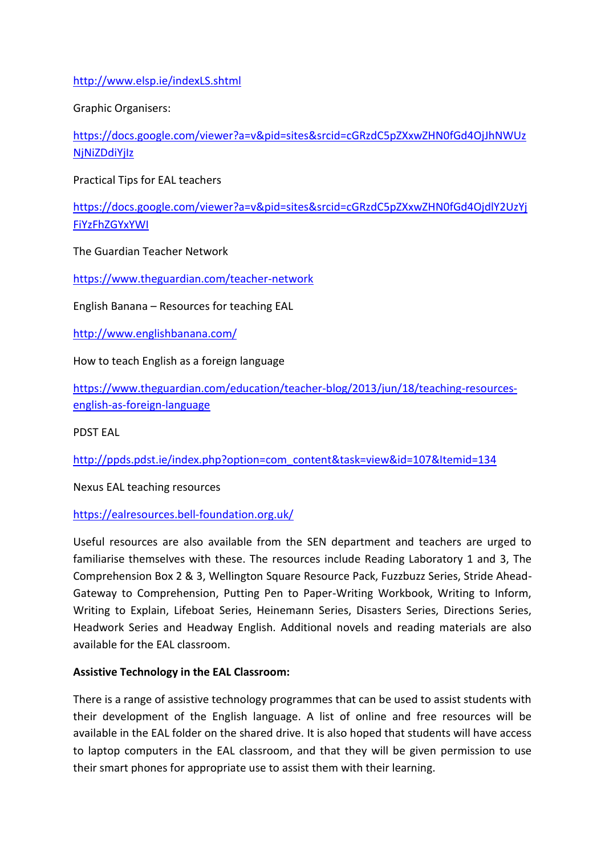<http://www.elsp.ie/indexLS.shtml>

Graphic Organisers:

[https://docs.google.com/viewer?a=v&pid=sites&srcid=cGRzdC5pZXxwZHN0fGd4OjJhNWUz](https://docs.google.com/viewer?a=v&pid=sites&srcid=cGRzdC5pZXxwZHN0fGd4OjJhNWUzNjNiZDdiYjIz) **NiNiZDdiYilz** 

Practical Tips for EAL teachers

[https://docs.google.com/viewer?a=v&pid=sites&srcid=cGRzdC5pZXxwZHN0fGd4OjdlY2UzYj](https://docs.google.com/viewer?a=v&pid=sites&srcid=cGRzdC5pZXxwZHN0fGd4OjdlY2UzYjFiYzFhZGYxYWI) [FiYzFhZGYxYWI](https://docs.google.com/viewer?a=v&pid=sites&srcid=cGRzdC5pZXxwZHN0fGd4OjdlY2UzYjFiYzFhZGYxYWI)

The Guardian Teacher Network

<https://www.theguardian.com/teacher-network>

English Banana – Resources for teaching EAL

<http://www.englishbanana.com/>

How to teach English as a foreign language

[https://www.theguardian.com/education/teacher-blog/2013/jun/18/teaching-resources](https://www.theguardian.com/education/teacher-blog/2013/jun/18/teaching-resources-english-as-foreign-language)[english-as-foreign-language](https://www.theguardian.com/education/teacher-blog/2013/jun/18/teaching-resources-english-as-foreign-language)

PDST EAL

[http://ppds.pdst.ie/index.php?option=com\\_content&task=view&id=107&Itemid=134](http://ppds.pdst.ie/index.php?option=com_content&task=view&id=107&Itemid=134)

Nexus EAL teaching resources

<https://ealresources.bell-foundation.org.uk/>

Useful resources are also available from the SEN department and teachers are urged to familiarise themselves with these. The resources include Reading Laboratory 1 and 3, The Comprehension Box 2 & 3, Wellington Square Resource Pack, Fuzzbuzz Series, Stride Ahead-Gateway to Comprehension, Putting Pen to Paper-Writing Workbook, Writing to Inform, Writing to Explain, Lifeboat Series, Heinemann Series, Disasters Series, Directions Series, Headwork Series and Headway English. Additional novels and reading materials are also available for the EAL classroom.

#### **Assistive Technology in the EAL Classroom:**

There is a range of assistive technology programmes that can be used to assist students with their development of the English language. A list of online and free resources will be available in the EAL folder on the shared drive. It is also hoped that students will have access to laptop computers in the EAL classroom, and that they will be given permission to use their smart phones for appropriate use to assist them with their learning.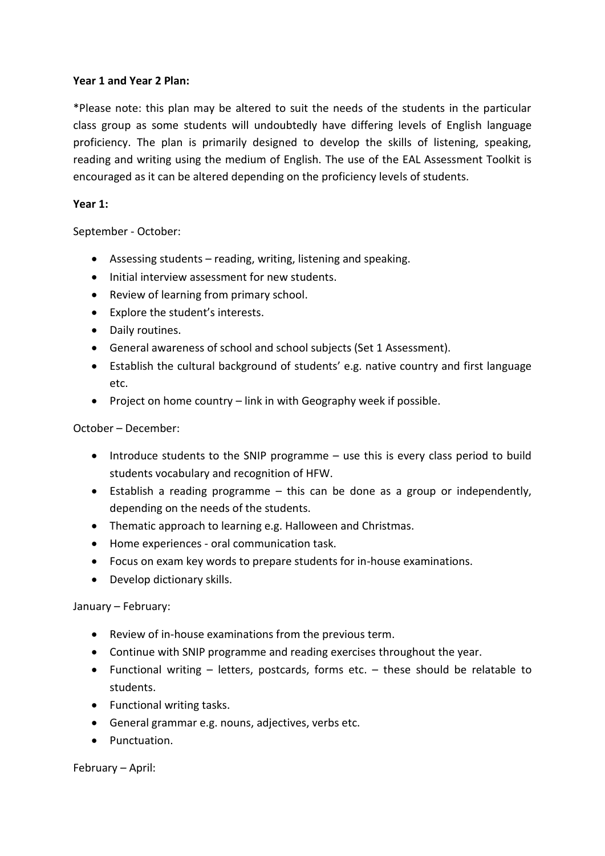## **Year 1 and Year 2 Plan:**

\*Please note: this plan may be altered to suit the needs of the students in the particular class group as some students will undoubtedly have differing levels of English language proficiency. The plan is primarily designed to develop the skills of listening, speaking, reading and writing using the medium of English. The use of the EAL Assessment Toolkit is encouraged as it can be altered depending on the proficiency levels of students.

## **Year 1:**

September - October:

- Assessing students reading, writing, listening and speaking.
- Initial interview assessment for new students.
- Review of learning from primary school.
- Explore the student's interests.
- Daily routines.
- General awareness of school and school subjects (Set 1 Assessment).
- Establish the cultural background of students' e.g. native country and first language etc.
- Project on home country  $-$  link in with Geography week if possible.

## October – December:

- Introduce students to the SNIP programme use this is every class period to build students vocabulary and recognition of HFW.
- Establish a reading programme this can be done as a group or independently, depending on the needs of the students.
- Thematic approach to learning e.g. Halloween and Christmas.
- Home experiences oral communication task.
- Focus on exam key words to prepare students for in-house examinations.
- Develop dictionary skills.

# January – February:

- Review of in-house examinations from the previous term.
- Continue with SNIP programme and reading exercises throughout the year.
- Functional writing letters, postcards, forms etc. these should be relatable to students.
- Functional writing tasks.
- General grammar e.g. nouns, adjectives, verbs etc.
- Punctuation.

February – April: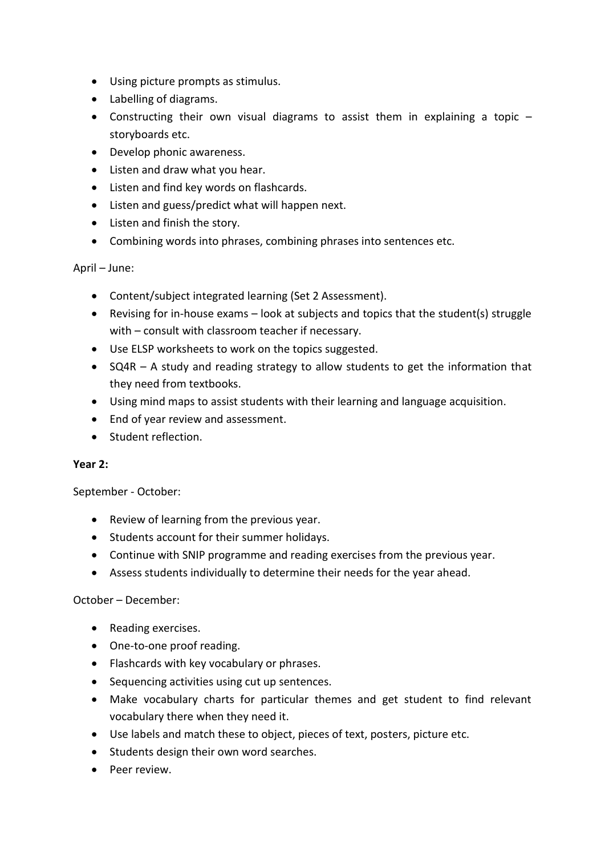- Using picture prompts as stimulus.
- Labelling of diagrams.
- Constructing their own visual diagrams to assist them in explaining a topic storyboards etc.
- Develop phonic awareness.
- Listen and draw what you hear.
- Listen and find key words on flashcards.
- Listen and guess/predict what will happen next.
- Listen and finish the story.
- Combining words into phrases, combining phrases into sentences etc.

## April – June:

- Content/subject integrated learning (Set 2 Assessment).
- Revising for in-house exams look at subjects and topics that the student(s) struggle with – consult with classroom teacher if necessary.
- Use ELSP worksheets to work on the topics suggested.
- SQ4R A study and reading strategy to allow students to get the information that they need from textbooks.
- Using mind maps to assist students with their learning and language acquisition.
- End of year review and assessment.
- Student reflection.

#### **Year 2:**

September - October:

- Review of learning from the previous year.
- Students account for their summer holidays.
- Continue with SNIP programme and reading exercises from the previous year.
- Assess students individually to determine their needs for the year ahead.

# October – December:

- Reading exercises.
- One-to-one proof reading.
- Flashcards with key vocabulary or phrases.
- Sequencing activities using cut up sentences.
- Make vocabulary charts for particular themes and get student to find relevant vocabulary there when they need it.
- Use labels and match these to object, pieces of text, posters, picture etc.
- Students design their own word searches.
- Peer review.